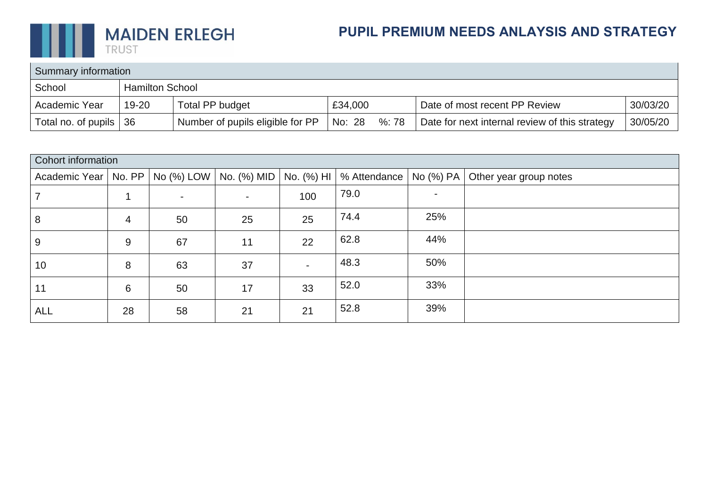

## **PUPIL PREMIUM NEEDS ANLAYSIS AND STRATEGY**

| Summary information |                        |                                  |         |      |                                                |          |  |
|---------------------|------------------------|----------------------------------|---------|------|------------------------------------------------|----------|--|
| School              | <b>Hamilton School</b> |                                  |         |      |                                                |          |  |
| Academic Year       | 19-20                  | Total PP budget                  | £34,000 |      | Date of most recent PP Review                  | 30/03/20 |  |
| Total no. of pupils | 36                     | Number of pupils eligible for PP | No: 28  | %:78 | Date for next internal review of this strategy | 30/05/20 |  |

| Cohort information     |    |            |                          |            |              |           |                        |  |
|------------------------|----|------------|--------------------------|------------|--------------|-----------|------------------------|--|
| Academic Year   No. PP |    | No (%) LOW | No. (%) MID              | No. (%) HI | % Attendance | No (%) PA | Other year group notes |  |
|                        |    | $\sim$     | $\overline{\phantom{0}}$ | 100        | 79.0         |           |                        |  |
| 8                      | 4  | 50         | 25                       | 25         | 74.4         | 25%       |                        |  |
| 9                      | 9  | 67         | 11                       | 22         | 62.8         | 44%       |                        |  |
| 10                     | 8  | 63         | 37                       |            | 48.3         | 50%       |                        |  |
| 11                     | 6  | 50         | 17                       | 33         | 52.0         | 33%       |                        |  |
| <b>ALL</b>             | 28 | 58         | 21                       | 21         | 52.8         | 39%       |                        |  |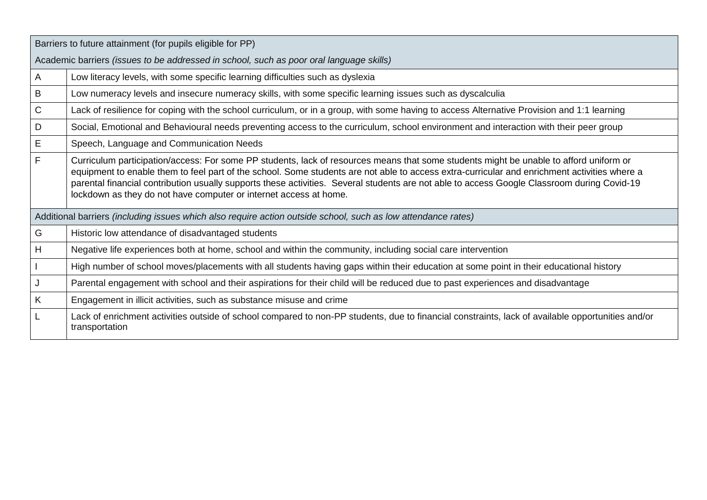|             | Barriers to future attainment (for pupils eligible for PP)                                                                                                                                                                                                                                                                                                                                                                                                                                                 |  |  |  |  |  |  |  |
|-------------|------------------------------------------------------------------------------------------------------------------------------------------------------------------------------------------------------------------------------------------------------------------------------------------------------------------------------------------------------------------------------------------------------------------------------------------------------------------------------------------------------------|--|--|--|--|--|--|--|
|             | Academic barriers (issues to be addressed in school, such as poor oral language skills)                                                                                                                                                                                                                                                                                                                                                                                                                    |  |  |  |  |  |  |  |
| A           | Low literacy levels, with some specific learning difficulties such as dyslexia                                                                                                                                                                                                                                                                                                                                                                                                                             |  |  |  |  |  |  |  |
| B           | Low numeracy levels and insecure numeracy skills, with some specific learning issues such as dyscalculia                                                                                                                                                                                                                                                                                                                                                                                                   |  |  |  |  |  |  |  |
| $\mathsf C$ | Lack of resilience for coping with the school curriculum, or in a group, with some having to access Alternative Provision and 1:1 learning                                                                                                                                                                                                                                                                                                                                                                 |  |  |  |  |  |  |  |
| D           | Social, Emotional and Behavioural needs preventing access to the curriculum, school environment and interaction with their peer group                                                                                                                                                                                                                                                                                                                                                                      |  |  |  |  |  |  |  |
| Ε           | Speech, Language and Communication Needs                                                                                                                                                                                                                                                                                                                                                                                                                                                                   |  |  |  |  |  |  |  |
| F           | Curriculum participation/access: For some PP students, lack of resources means that some students might be unable to afford uniform or<br>equipment to enable them to feel part of the school. Some students are not able to access extra-curricular and enrichment activities where a<br>parental financial contribution usually supports these activities. Several students are not able to access Google Classroom during Covid-19<br>lockdown as they do not have computer or internet access at home. |  |  |  |  |  |  |  |
|             | Additional barriers (including issues which also require action outside school, such as low attendance rates)                                                                                                                                                                                                                                                                                                                                                                                              |  |  |  |  |  |  |  |
| G           | Historic low attendance of disadvantaged students                                                                                                                                                                                                                                                                                                                                                                                                                                                          |  |  |  |  |  |  |  |
| H           | Negative life experiences both at home, school and within the community, including social care intervention                                                                                                                                                                                                                                                                                                                                                                                                |  |  |  |  |  |  |  |
|             | High number of school moves/placements with all students having gaps within their education at some point in their educational history                                                                                                                                                                                                                                                                                                                                                                     |  |  |  |  |  |  |  |
|             | Parental engagement with school and their aspirations for their child will be reduced due to past experiences and disadvantage                                                                                                                                                                                                                                                                                                                                                                             |  |  |  |  |  |  |  |
| K           | Engagement in illicit activities, such as substance misuse and crime                                                                                                                                                                                                                                                                                                                                                                                                                                       |  |  |  |  |  |  |  |
|             | Lack of enrichment activities outside of school compared to non-PP students, due to financial constraints, lack of available opportunities and/or<br>transportation                                                                                                                                                                                                                                                                                                                                        |  |  |  |  |  |  |  |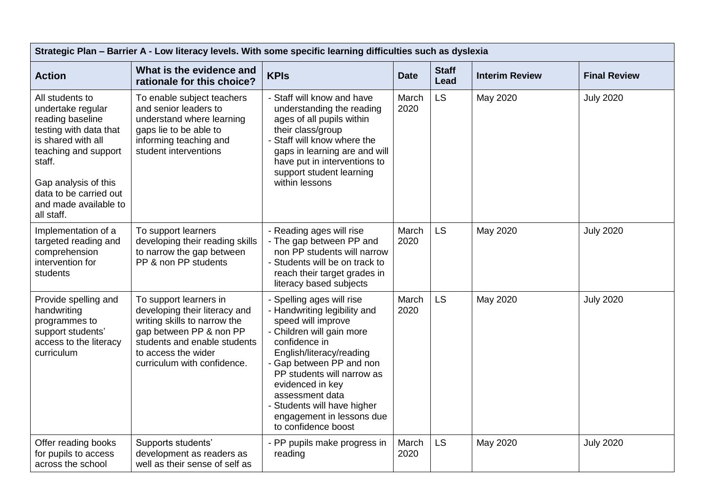| Strategic Plan - Barrier A - Low literacy levels. With some specific learning difficulties such as dyslexia                                                                                                                         |                                                                                                                                                                                                          |                                                                                                                                                                                                                                                                                                                                               |               |                      |                       |                     |  |
|-------------------------------------------------------------------------------------------------------------------------------------------------------------------------------------------------------------------------------------|----------------------------------------------------------------------------------------------------------------------------------------------------------------------------------------------------------|-----------------------------------------------------------------------------------------------------------------------------------------------------------------------------------------------------------------------------------------------------------------------------------------------------------------------------------------------|---------------|----------------------|-----------------------|---------------------|--|
| <b>Action</b>                                                                                                                                                                                                                       | What is the evidence and<br>rationale for this choice?                                                                                                                                                   | <b>KPIs</b>                                                                                                                                                                                                                                                                                                                                   | <b>Date</b>   | <b>Staff</b><br>Lead | <b>Interim Review</b> | <b>Final Review</b> |  |
| All students to<br>undertake regular<br>reading baseline<br>testing with data that<br>is shared with all<br>teaching and support<br>staff.<br>Gap analysis of this<br>data to be carried out<br>and made available to<br>all staff. | To enable subject teachers<br>and senior leaders to<br>understand where learning<br>gaps lie to be able to<br>informing teaching and<br>student interventions                                            | - Staff will know and have<br>understanding the reading<br>ages of all pupils within<br>their class/group<br>Staff will know where the<br>gaps in learning are and will<br>have put in interventions to<br>support student learning<br>within lessons                                                                                         | March<br>2020 | <b>LS</b>            | May 2020              | <b>July 2020</b>    |  |
| Implementation of a<br>targeted reading and<br>comprehension<br>intervention for<br>students                                                                                                                                        | To support learners<br>developing their reading skills<br>to narrow the gap between<br>PP & non PP students                                                                                              | - Reading ages will rise<br>- The gap between PP and<br>non PP students will narrow<br>- Students will be on track to<br>reach their target grades in<br>literacy based subjects                                                                                                                                                              | March<br>2020 | <b>LS</b>            | May 2020              | <b>July 2020</b>    |  |
| Provide spelling and<br>handwriting<br>programmes to<br>support students'<br>access to the literacy<br>curriculum                                                                                                                   | To support learners in<br>developing their literacy and<br>writing skills to narrow the<br>gap between PP & non PP<br>students and enable students<br>to access the wider<br>curriculum with confidence. | - Spelling ages will rise<br>- Handwriting legibility and<br>speed will improve<br>- Children will gain more<br>confidence in<br>English/literacy/reading<br>- Gap between PP and non<br>PP students will narrow as<br>evidenced in key<br>assessment data<br>- Students will have higher<br>engagement in lessons due<br>to confidence boost | March<br>2020 | <b>LS</b>            | May 2020              | <b>July 2020</b>    |  |
| Offer reading books<br>for pupils to access<br>across the school                                                                                                                                                                    | Supports students'<br>development as readers as<br>well as their sense of self as                                                                                                                        | - PP pupils make progress in<br>reading                                                                                                                                                                                                                                                                                                       | March<br>2020 | <b>LS</b>            | May 2020              | <b>July 2020</b>    |  |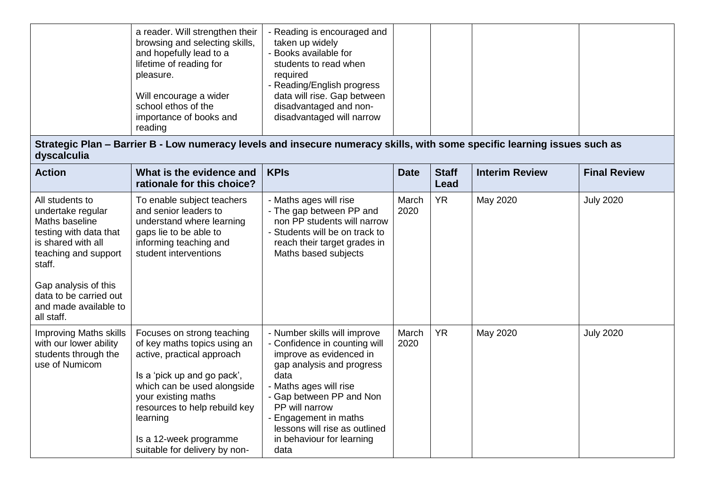| a reader. Will strengthen their<br>browsing and selecting skills,<br>and hopefully lead to a<br>lifetime of reading for<br>pleasure.<br>Will encourage a wider<br>school ethos of the<br>importance of books and | - Reading is encouraged and<br>taken up widely<br>- Books available for<br>students to read when<br>required<br>- Reading/English progress<br>data will rise. Gap between<br>disadvantaged and non-<br>disadvantaged will narrow |  |  |
|------------------------------------------------------------------------------------------------------------------------------------------------------------------------------------------------------------------|----------------------------------------------------------------------------------------------------------------------------------------------------------------------------------------------------------------------------------|--|--|
| reading                                                                                                                                                                                                          |                                                                                                                                                                                                                                  |  |  |

**Strategic Plan – Barrier B - Low numeracy levels and insecure numeracy skills, with some specific learning issues such as dyscalculia**

| <b>Action</b>                                                                                                                                                                              | What is the evidence and<br>rationale for this choice?                                                                                                                                                                                                                                | <b>KPIs</b>                                                                                                                                                                                                                                                                                        | <b>Date</b>   | <b>Staff</b><br>Lead | <b>Interim Review</b> | <b>Final Review</b> |
|--------------------------------------------------------------------------------------------------------------------------------------------------------------------------------------------|---------------------------------------------------------------------------------------------------------------------------------------------------------------------------------------------------------------------------------------------------------------------------------------|----------------------------------------------------------------------------------------------------------------------------------------------------------------------------------------------------------------------------------------------------------------------------------------------------|---------------|----------------------|-----------------------|---------------------|
| All students to<br>undertake regular<br>Maths baseline<br>testing with data that<br>is shared with all<br>teaching and support<br>staff.<br>Gap analysis of this<br>data to be carried out | To enable subject teachers<br>and senior leaders to<br>understand where learning<br>gaps lie to be able to<br>informing teaching and<br>student interventions                                                                                                                         | - Maths ages will rise<br>- The gap between PP and<br>non PP students will narrow<br>- Students will be on track to<br>reach their target grades in<br>Maths based subjects                                                                                                                        | March<br>2020 | <b>YR</b>            | May 2020              | <b>July 2020</b>    |
| and made available to<br>all staff.                                                                                                                                                        |                                                                                                                                                                                                                                                                                       |                                                                                                                                                                                                                                                                                                    |               |                      |                       |                     |
| <b>Improving Maths skills</b><br>with our lower ability<br>students through the<br>use of Numicom                                                                                          | Focuses on strong teaching<br>of key maths topics using an<br>active, practical approach<br>Is a 'pick up and go pack',<br>which can be used alongside<br>your existing maths<br>resources to help rebuild key<br>learning<br>Is a 12-week programme<br>suitable for delivery by non- | - Number skills will improve<br>- Confidence in counting will<br>improve as evidenced in<br>gap analysis and progress<br>data<br>- Maths ages will rise<br>- Gap between PP and Non<br>PP will narrow<br>Engagement in maths<br>lessons will rise as outlined<br>in behaviour for learning<br>data | March<br>2020 | <b>YR</b>            | May 2020              | <b>July 2020</b>    |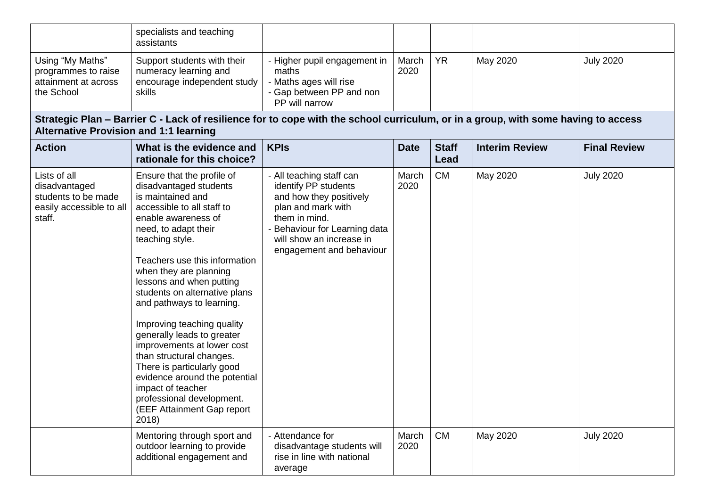|                                                                                            | specialists and teaching<br>assistants                                                                                                                                                                                                                                                                                                                                                                                                                                                                                                                                                                       |                                                                                                                                                                                                           |               |                      |                       |                     |
|--------------------------------------------------------------------------------------------|--------------------------------------------------------------------------------------------------------------------------------------------------------------------------------------------------------------------------------------------------------------------------------------------------------------------------------------------------------------------------------------------------------------------------------------------------------------------------------------------------------------------------------------------------------------------------------------------------------------|-----------------------------------------------------------------------------------------------------------------------------------------------------------------------------------------------------------|---------------|----------------------|-----------------------|---------------------|
| Using "My Maths"<br>programmes to raise<br>attainment at across<br>the School              | Support students with their<br>numeracy learning and<br>encourage independent study<br>skills                                                                                                                                                                                                                                                                                                                                                                                                                                                                                                                | - Higher pupil engagement in<br>maths<br>Maths ages will rise<br>- Gap between PP and non<br>PP will narrow                                                                                               | March<br>2020 | <b>YR</b>            | May 2020              | <b>July 2020</b>    |
| <b>Alternative Provision and 1:1 learning</b>                                              | Strategic Plan – Barrier C - Lack of resilience for to cope with the school curriculum, or in a group, with some having to access                                                                                                                                                                                                                                                                                                                                                                                                                                                                            |                                                                                                                                                                                                           |               |                      |                       |                     |
| <b>Action</b>                                                                              | What is the evidence and<br>rationale for this choice?                                                                                                                                                                                                                                                                                                                                                                                                                                                                                                                                                       | <b>KPIs</b>                                                                                                                                                                                               | <b>Date</b>   | <b>Staff</b><br>Lead | <b>Interim Review</b> | <b>Final Review</b> |
| Lists of all<br>disadvantaged<br>students to be made<br>easily accessible to all<br>staff. | Ensure that the profile of<br>disadvantaged students<br>is maintained and<br>accessible to all staff to<br>enable awareness of<br>need, to adapt their<br>teaching style.<br>Teachers use this information<br>when they are planning<br>lessons and when putting<br>students on alternative plans<br>and pathways to learning.<br>Improving teaching quality<br>generally leads to greater<br>improvements at lower cost<br>than structural changes.<br>There is particularly good<br>evidence around the potential<br>impact of teacher<br>professional development.<br>(EEF Attainment Gap report<br>2018) | - All teaching staff can<br>identify PP students<br>and how they positively<br>plan and mark with<br>them in mind.<br>Behaviour for Learning data<br>will show an increase in<br>engagement and behaviour | March<br>2020 | <b>CM</b>            | May 2020              | <b>July 2020</b>    |
|                                                                                            | Mentoring through sport and<br>outdoor learning to provide<br>additional engagement and                                                                                                                                                                                                                                                                                                                                                                                                                                                                                                                      | - Attendance for<br>disadvantage students will<br>rise in line with national<br>average                                                                                                                   | March<br>2020 | <b>CM</b>            | May 2020              | <b>July 2020</b>    |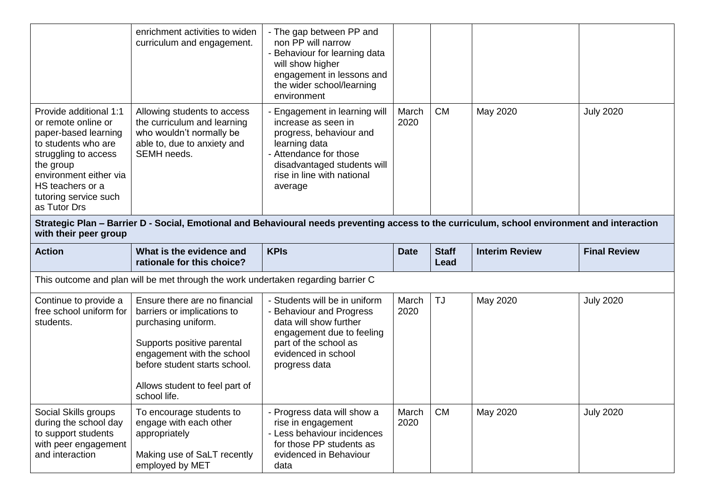|                                                                                                                                                                                                                          | enrichment activities to widen<br>curriculum and engagement.                                                                                                                                                                       | - The gap between PP and<br>non PP will narrow<br>- Behaviour for learning data<br>will show higher<br>engagement in lessons and<br>the wider school/learning<br>environment                     |               |              |                       |                     |  |
|--------------------------------------------------------------------------------------------------------------------------------------------------------------------------------------------------------------------------|------------------------------------------------------------------------------------------------------------------------------------------------------------------------------------------------------------------------------------|--------------------------------------------------------------------------------------------------------------------------------------------------------------------------------------------------|---------------|--------------|-----------------------|---------------------|--|
| Provide additional 1:1<br>or remote online or<br>paper-based learning<br>to students who are<br>struggling to access<br>the group<br>environment either via<br>HS teachers or a<br>tutoring service such<br>as Tutor Drs | Allowing students to access<br>the curriculum and learning<br>who wouldn't normally be<br>able to, due to anxiety and<br>SEMH needs.                                                                                               | Engagement in learning will<br>increase as seen in<br>progress, behaviour and<br>learning data<br>- Attendance for those<br>disadvantaged students will<br>rise in line with national<br>average | March<br>2020 | <b>CM</b>    | May 2020              | <b>July 2020</b>    |  |
| Strategic Plan - Barrier D - Social, Emotional and Behavioural needs preventing access to the curriculum, school environment and interaction<br>with their peer group                                                    |                                                                                                                                                                                                                                    |                                                                                                                                                                                                  |               |              |                       |                     |  |
| <b>Action</b>                                                                                                                                                                                                            | What is the evidence and                                                                                                                                                                                                           | <b>KPIs</b>                                                                                                                                                                                      | <b>Date</b>   | <b>Staff</b> | <b>Interim Review</b> | <b>Final Review</b> |  |
|                                                                                                                                                                                                                          | rationale for this choice?                                                                                                                                                                                                         |                                                                                                                                                                                                  |               | Lead         |                       |                     |  |
|                                                                                                                                                                                                                          | This outcome and plan will be met through the work undertaken regarding barrier C                                                                                                                                                  |                                                                                                                                                                                                  |               |              |                       |                     |  |
| Continue to provide a<br>free school uniform for<br>students.                                                                                                                                                            | Ensure there are no financial<br>barriers or implications to<br>purchasing uniform.<br>Supports positive parental<br>engagement with the school<br>before student starts school.<br>Allows student to feel part of<br>school life. | - Students will be in uniform<br>- Behaviour and Progress<br>data will show further<br>engagement due to feeling<br>part of the school as<br>evidenced in school<br>progress data                | March<br>2020 | <b>TJ</b>    | May 2020              | <b>July 2020</b>    |  |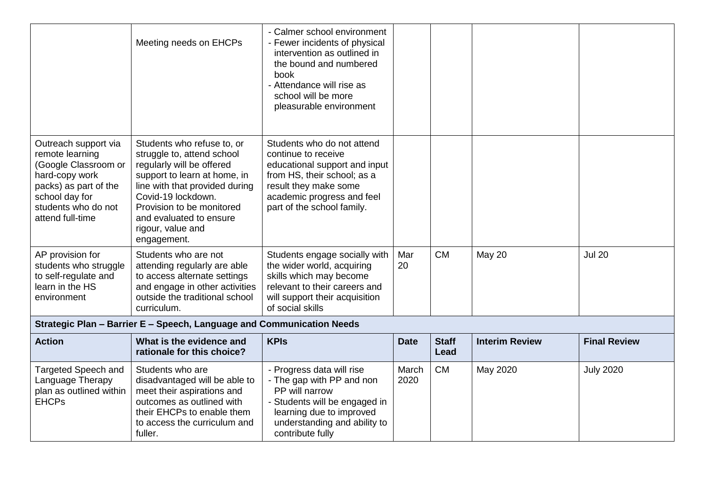|                                                                                                                                                                         | Meeting needs on EHCPs                                                                                                                                                                                                                                                    | - Calmer school environment<br>- Fewer incidents of physical<br>intervention as outlined in<br>the bound and numbered<br>book<br>- Attendance will rise as<br>school will be more<br>pleasurable environment |               |                      |                       |                     |
|-------------------------------------------------------------------------------------------------------------------------------------------------------------------------|---------------------------------------------------------------------------------------------------------------------------------------------------------------------------------------------------------------------------------------------------------------------------|--------------------------------------------------------------------------------------------------------------------------------------------------------------------------------------------------------------|---------------|----------------------|-----------------------|---------------------|
| Outreach support via<br>remote learning<br>(Google Classroom or<br>hard-copy work<br>packs) as part of the<br>school day for<br>students who do not<br>attend full-time | Students who refuse to, or<br>struggle to, attend school<br>regularly will be offered<br>support to learn at home, in<br>line with that provided during<br>Covid-19 lockdown.<br>Provision to be monitored<br>and evaluated to ensure<br>rigour, value and<br>engagement. | Students who do not attend<br>continue to receive<br>educational support and input<br>from HS, their school; as a<br>result they make some<br>academic progress and feel<br>part of the school family.       |               |                      |                       |                     |
| AP provision for<br>students who struggle<br>to self-regulate and<br>learn in the HS<br>environment                                                                     | Students who are not<br>attending regularly are able<br>to access alternate settings<br>and engage in other activities<br>outside the traditional school<br>curriculum.                                                                                                   | Students engage socially with<br>the wider world, acquiring<br>skills which may become<br>relevant to their careers and<br>will support their acquisition<br>of social skills                                | Mar<br>20     | <b>CM</b>            | <b>May 20</b>         | <b>Jul 20</b>       |
|                                                                                                                                                                         | Strategic Plan - Barrier E - Speech, Language and Communication Needs                                                                                                                                                                                                     |                                                                                                                                                                                                              |               |                      |                       |                     |
| <b>Action</b>                                                                                                                                                           | What is the evidence and<br>rationale for this choice?                                                                                                                                                                                                                    | <b>KPIs</b>                                                                                                                                                                                                  | <b>Date</b>   | <b>Staff</b><br>Lead | <b>Interim Review</b> | <b>Final Review</b> |
| <b>Targeted Speech and</b><br>Language Therapy<br>plan as outlined within<br><b>EHCPs</b>                                                                               | Students who are<br>disadvantaged will be able to<br>meet their aspirations and<br>outcomes as outlined with<br>their EHCPs to enable them<br>to access the curriculum and<br>fuller.                                                                                     | - Progress data will rise<br>- The gap with PP and non<br>PP will narrow<br>- Students will be engaged in<br>learning due to improved<br>understanding and ability to<br>contribute fully                    | March<br>2020 | <b>CM</b>            | May 2020              | <b>July 2020</b>    |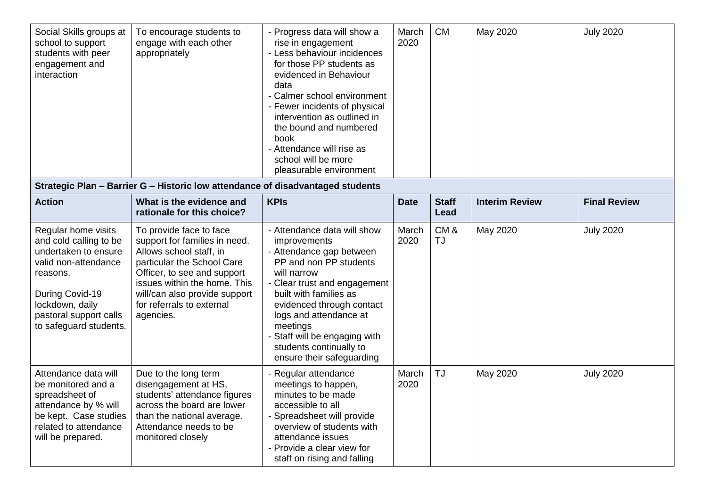| Social Skills groups at<br>school to support<br>students with peer<br>engagement and<br>interaction                                                                                                 | To encourage students to<br>engage with each other<br>appropriately<br>Strategic Plan - Barrier G - Historic low attendance of disadvantaged students                                                                                                       | - Progress data will show a<br>rise in engagement<br>- Less behaviour incidences<br>for those PP students as<br>evidenced in Behaviour<br>data<br>- Calmer school environment<br>- Fewer incidents of physical<br>intervention as outlined in<br>the bound and numbered<br>book<br>- Attendance will rise as<br>school will be more<br>pleasurable environment | March<br>2020 | CM                   | May 2020              | <b>July 2020</b>    |
|-----------------------------------------------------------------------------------------------------------------------------------------------------------------------------------------------------|-------------------------------------------------------------------------------------------------------------------------------------------------------------------------------------------------------------------------------------------------------------|----------------------------------------------------------------------------------------------------------------------------------------------------------------------------------------------------------------------------------------------------------------------------------------------------------------------------------------------------------------|---------------|----------------------|-----------------------|---------------------|
| <b>Action</b>                                                                                                                                                                                       | What is the evidence and<br>rationale for this choice?                                                                                                                                                                                                      | <b>KPIs</b>                                                                                                                                                                                                                                                                                                                                                    | <b>Date</b>   | <b>Staff</b><br>Lead | <b>Interim Review</b> | <b>Final Review</b> |
| Regular home visits<br>and cold calling to be<br>undertaken to ensure<br>valid non-attendance<br>reasons.<br>During Covid-19<br>lockdown, daily<br>pastoral support calls<br>to safeguard students. | To provide face to face<br>support for families in need.<br>Allows school staff, in<br>particular the School Care<br>Officer, to see and support<br>issues within the home. This<br>will/can also provide support<br>for referrals to external<br>agencies. | - Attendance data will show<br>improvements<br>- Attendance gap between<br>PP and non PP students<br>will narrow<br>- Clear trust and engagement<br>built with families as<br>evidenced through contact<br>logs and attendance at<br>meetings<br>- Staff will be engaging with<br>students continually to<br>ensure their safeguarding                         | March<br>2020 | CM&<br><b>TJ</b>     | May 2020              | <b>July 2020</b>    |
| Attendance data will<br>be monitored and a<br>spreadsheet of<br>attendance by % will<br>be kept. Case studies<br>related to attendance<br>will be prepared.                                         | Due to the long term<br>disengagement at HS,<br>students' attendance figures<br>across the board are lower<br>than the national average.<br>Attendance needs to be<br>monitored closely                                                                     | - Regular attendance<br>meetings to happen,<br>minutes to be made<br>accessible to all<br>- Spreadsheet will provide<br>overview of students with<br>attendance issues<br>- Provide a clear view for<br>staff on rising and falling                                                                                                                            | March<br>2020 | <b>TJ</b>            | May 2020              | <b>July 2020</b>    |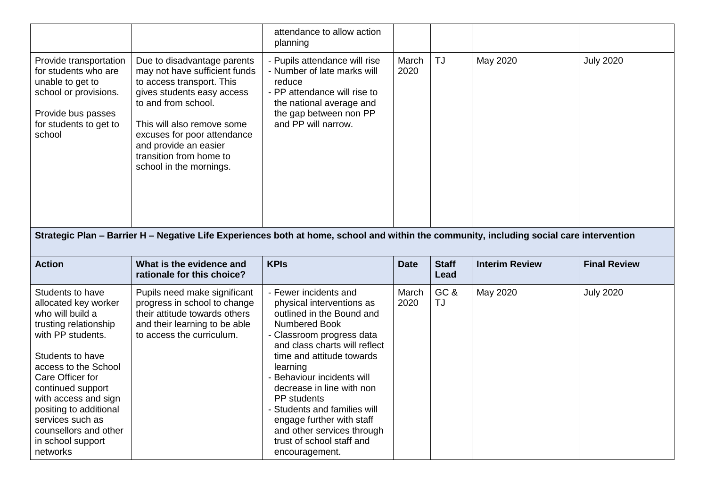|                                                                                                                                                       |                                                                                                                                                                                                                                                                                            | attendance to allow action<br>planning                                                                                                                                              |               |                      |                       |                     |  |
|-------------------------------------------------------------------------------------------------------------------------------------------------------|--------------------------------------------------------------------------------------------------------------------------------------------------------------------------------------------------------------------------------------------------------------------------------------------|-------------------------------------------------------------------------------------------------------------------------------------------------------------------------------------|---------------|----------------------|-----------------------|---------------------|--|
| Provide transportation<br>for students who are<br>unable to get to<br>school or provisions.<br>Provide bus passes<br>for students to get to<br>school | Due to disadvantage parents<br>may not have sufficient funds<br>to access transport. This<br>gives students easy access<br>to and from school.<br>This will also remove some<br>excuses for poor attendance<br>and provide an easier<br>transition from home to<br>school in the mornings. | - Pupils attendance will rise<br>- Number of late marks will<br>reduce<br>- PP attendance will rise to<br>the national average and<br>the gap between non PP<br>and PP will narrow. | March<br>2020 | <b>TJ</b>            | May 2020              | <b>July 2020</b>    |  |
| Strategic Plan - Barrier H - Negative Life Experiences both at home, school and within the community, including social care intervention              |                                                                                                                                                                                                                                                                                            |                                                                                                                                                                                     |               |                      |                       |                     |  |
|                                                                                                                                                       |                                                                                                                                                                                                                                                                                            |                                                                                                                                                                                     |               |                      |                       |                     |  |
| <b>Action</b>                                                                                                                                         | What is the evidence and<br>rationale for this choice?                                                                                                                                                                                                                                     | <b>KPIs</b>                                                                                                                                                                         | <b>Date</b>   | <b>Staff</b><br>Lead | <b>Interim Review</b> | <b>Final Review</b> |  |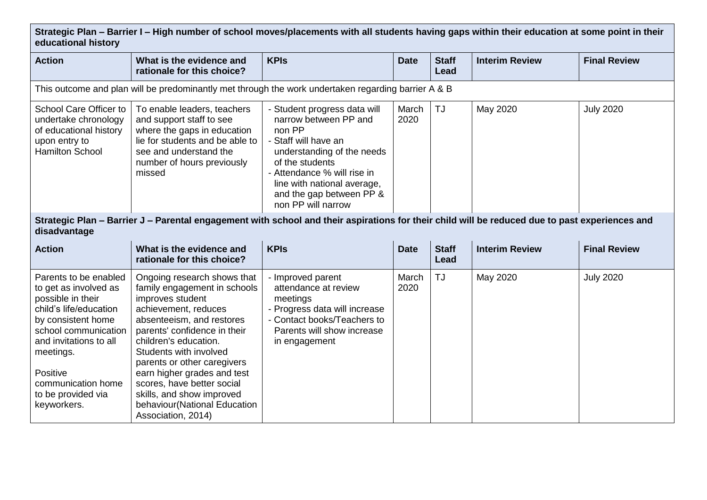**Strategic Plan – Barrier I – High number of school moves/placements with all students having gaps within their education at some point in their educational history**

| <b>Action</b>                                                                                                                                                                                                                                             | What is the evidence and<br>rationale for this choice?                                                                                                                                                                                                                                                                                                                                                 | <b>KPIs</b>                                                                                                                                                                                                                                              | <b>Date</b>   | <b>Staff</b><br>Lead | <b>Interim Review</b> | <b>Final Review</b> |  |  |
|-----------------------------------------------------------------------------------------------------------------------------------------------------------------------------------------------------------------------------------------------------------|--------------------------------------------------------------------------------------------------------------------------------------------------------------------------------------------------------------------------------------------------------------------------------------------------------------------------------------------------------------------------------------------------------|----------------------------------------------------------------------------------------------------------------------------------------------------------------------------------------------------------------------------------------------------------|---------------|----------------------|-----------------------|---------------------|--|--|
| This outcome and plan will be predominantly met through the work undertaken regarding barrier A & B                                                                                                                                                       |                                                                                                                                                                                                                                                                                                                                                                                                        |                                                                                                                                                                                                                                                          |               |                      |                       |                     |  |  |
| School Care Officer to<br>undertake chronology<br>of educational history<br>upon entry to<br><b>Hamilton School</b>                                                                                                                                       | To enable leaders, teachers<br>and support staff to see<br>where the gaps in education<br>lie for students and be able to<br>see and understand the<br>number of hours previously<br>missed                                                                                                                                                                                                            | - Student progress data will<br>narrow between PP and<br>non PP<br>- Staff will have an<br>understanding of the needs<br>of the students<br>- Attendance % will rise in<br>line with national average,<br>and the gap between PP &<br>non PP will narrow | March<br>2020 | <b>TJ</b>            | May 2020              | <b>July 2020</b>    |  |  |
| Strategic Plan – Barrier J – Parental engagement with school and their aspirations for their child will be reduced due to past experiences and<br>disadvantage                                                                                            |                                                                                                                                                                                                                                                                                                                                                                                                        |                                                                                                                                                                                                                                                          |               |                      |                       |                     |  |  |
| <b>Action</b>                                                                                                                                                                                                                                             | What is the evidence and<br>rationale for this choice?                                                                                                                                                                                                                                                                                                                                                 | <b>KPIs</b>                                                                                                                                                                                                                                              | <b>Date</b>   | <b>Staff</b><br>Lead | <b>Interim Review</b> | <b>Final Review</b> |  |  |
| Parents to be enabled<br>to get as involved as<br>possible in their<br>child's life/education<br>by consistent home<br>school communication<br>and invitations to all<br>meetings.<br>Positive<br>communication home<br>to be provided via<br>keyworkers. | Ongoing research shows that<br>family engagement in schools<br>improves student<br>achievement, reduces<br>absenteeism, and restores<br>parents' confidence in their<br>children's education.<br>Students with involved<br>parents or other caregivers<br>earn higher grades and test<br>scores, have better social<br>skills, and show improved<br>behaviour(National Education<br>Association, 2014) | - Improved parent<br>attendance at review<br>meetings<br>- Progress data will increase<br>- Contact books/Teachers to<br>Parents will show increase<br>in engagement                                                                                     | March<br>2020 | <b>TJ</b>            | May 2020              | <b>July 2020</b>    |  |  |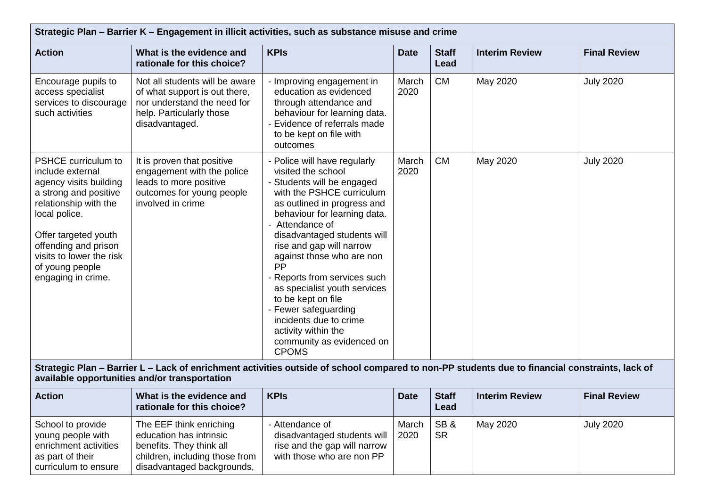| <b>Action</b>                                                                                                                                                                                                                                             | What is the evidence and<br>rationale for this choice?                                                                                       | <b>KPIs</b>                                                                                                                                                                                                                                                                                                                                                                                                                                                                                               | <b>Date</b>   | <b>Staff</b><br>Lead | <b>Interim Review</b> | <b>Final Review</b> |
|-----------------------------------------------------------------------------------------------------------------------------------------------------------------------------------------------------------------------------------------------------------|----------------------------------------------------------------------------------------------------------------------------------------------|-----------------------------------------------------------------------------------------------------------------------------------------------------------------------------------------------------------------------------------------------------------------------------------------------------------------------------------------------------------------------------------------------------------------------------------------------------------------------------------------------------------|---------------|----------------------|-----------------------|---------------------|
| Encourage pupils to<br>access specialist<br>services to discourage<br>such activities                                                                                                                                                                     | Not all students will be aware<br>of what support is out there,<br>nor understand the need for<br>help. Particularly those<br>disadvantaged. | - Improving engagement in<br>education as evidenced<br>through attendance and<br>behaviour for learning data.<br>Evidence of referrals made<br>to be kept on file with<br>outcomes                                                                                                                                                                                                                                                                                                                        | March<br>2020 | <b>CM</b>            | May 2020              | <b>July 2020</b>    |
| PSHCE curriculum to<br>include external<br>agency visits building<br>a strong and positive<br>relationship with the<br>local police.<br>Offer targeted youth<br>offending and prison<br>visits to lower the risk<br>of young people<br>engaging in crime. | It is proven that positive<br>engagement with the police<br>leads to more positive<br>outcomes for young people<br>involved in crime         | - Police will have regularly<br>visited the school<br>- Students will be engaged<br>with the PSHCE curriculum<br>as outlined in progress and<br>behaviour for learning data.<br>- Attendance of<br>disadvantaged students will<br>rise and gap will narrow<br>against those who are non<br>PP<br>- Reports from services such<br>as specialist youth services<br>to be kept on file<br>- Fewer safeguarding<br>incidents due to crime<br>activity within the<br>community as evidenced on<br><b>CPOMS</b> | March<br>2020 | <b>CM</b>            | May 2020              | <b>July 2020</b>    |

| <b>Action</b>                                                                                               | What is the evidence and<br>rationale for this choice?                                                                                         | <b>KPIs</b>                                                                                                   | <b>Date</b>   | <b>Staff</b><br>Lead | <b>Interim Review</b> | <b>Final Review</b> |
|-------------------------------------------------------------------------------------------------------------|------------------------------------------------------------------------------------------------------------------------------------------------|---------------------------------------------------------------------------------------------------------------|---------------|----------------------|-----------------------|---------------------|
| School to provide<br>young people with<br>enrichment activities<br>as part of their<br>curriculum to ensure | The EEF think enriching<br>education has intrinsic<br>benefits. They think all<br>children, including those from<br>disadvantaged backgrounds, | - Attendance of<br>disadvantaged students will  <br>rise and the gap will narrow<br>with those who are non PP | March<br>2020 | SB&<br><b>SR</b>     | May 2020              | <b>July 2020</b>    |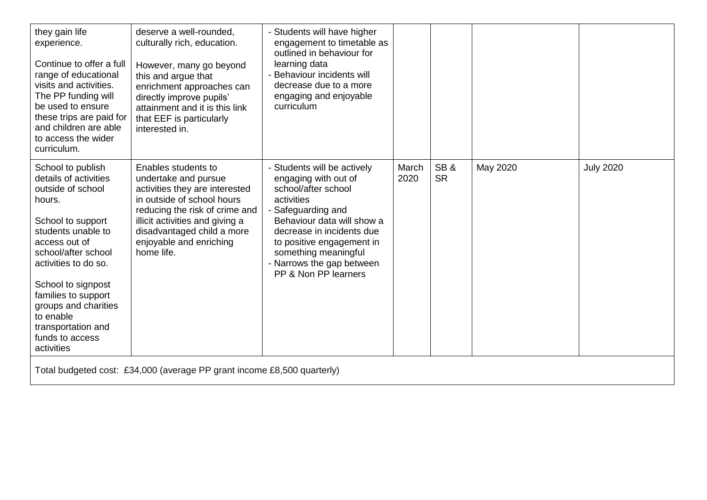| they gain life<br>experience.<br>Continue to offer a full<br>range of educational<br>visits and activities.<br>The PP funding will<br>be used to ensure<br>these trips are paid for<br>and children are able<br>to access the wider<br>curriculum.                                                                            | deserve a well-rounded,<br>culturally rich, education.<br>However, many go beyond<br>this and argue that<br>enrichment approaches can<br>directly improve pupils'<br>attainment and it is this link<br>that EEF is particularly<br>interested in.       | - Students will have higher<br>engagement to timetable as<br>outlined in behaviour for<br>learning data<br>- Behaviour incidents will<br>decrease due to a more<br>engaging and enjoyable<br>curriculum                                                                             |               |                  |          |                  |
|-------------------------------------------------------------------------------------------------------------------------------------------------------------------------------------------------------------------------------------------------------------------------------------------------------------------------------|---------------------------------------------------------------------------------------------------------------------------------------------------------------------------------------------------------------------------------------------------------|-------------------------------------------------------------------------------------------------------------------------------------------------------------------------------------------------------------------------------------------------------------------------------------|---------------|------------------|----------|------------------|
| School to publish<br>details of activities<br>outside of school<br>hours.<br>School to support<br>students unable to<br>access out of<br>school/after school<br>activities to do so.<br>School to signpost<br>families to support<br>groups and charities<br>to enable<br>transportation and<br>funds to access<br>activities | Enables students to<br>undertake and pursue<br>activities they are interested<br>in outside of school hours<br>reducing the risk of crime and<br>illicit activities and giving a<br>disadvantaged child a more<br>enjoyable and enriching<br>home life. | - Students will be actively<br>engaging with out of<br>school/after school<br>activities<br>- Safeguarding and<br>Behaviour data will show a<br>decrease in incidents due<br>to positive engagement in<br>something meaningful<br>- Narrows the gap between<br>PP & Non PP learners | March<br>2020 | SB&<br><b>SR</b> | May 2020 | <b>July 2020</b> |
| Total budgeted cost: £34,000 (average PP grant income £8,500 quarterly)                                                                                                                                                                                                                                                       |                                                                                                                                                                                                                                                         |                                                                                                                                                                                                                                                                                     |               |                  |          |                  |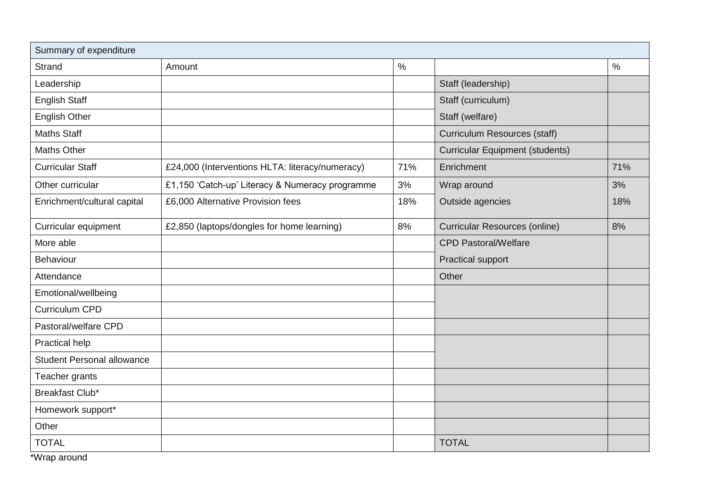| Summary of expenditure            |                                                 |               |                                        |      |
|-----------------------------------|-------------------------------------------------|---------------|----------------------------------------|------|
| <b>Strand</b>                     | Amount                                          | $\frac{0}{0}$ |                                        | $\%$ |
| Leadership                        |                                                 |               | Staff (leadership)                     |      |
| <b>English Staff</b>              |                                                 |               | Staff (curriculum)                     |      |
| <b>English Other</b>              |                                                 |               | Staff (welfare)                        |      |
| <b>Maths Staff</b>                |                                                 |               | <b>Curriculum Resources (staff)</b>    |      |
| <b>Maths Other</b>                |                                                 |               | <b>Curricular Equipment (students)</b> |      |
| <b>Curricular Staff</b>           | £24,000 (Interventions HLTA: literacy/numeracy) | 71%           | Enrichment                             | 71%  |
| Other curricular                  | £1,150 'Catch-up' Literacy & Numeracy programme | 3%            | Wrap around                            | 3%   |
| Enrichment/cultural capital       | £6,000 Alternative Provision fees               | 18%           | Outside agencies                       | 18%  |
| Curricular equipment              | £2,850 (laptops/dongles for home learning)      | 8%            | <b>Curricular Resources (online)</b>   | 8%   |
| More able                         |                                                 |               | <b>CPD Pastoral/Welfare</b>            |      |
| Behaviour                         |                                                 |               | <b>Practical support</b>               |      |
| Attendance                        |                                                 |               | Other                                  |      |
| Emotional/wellbeing               |                                                 |               |                                        |      |
| <b>Curriculum CPD</b>             |                                                 |               |                                        |      |
| Pastoral/welfare CPD              |                                                 |               |                                        |      |
| Practical help                    |                                                 |               |                                        |      |
| <b>Student Personal allowance</b> |                                                 |               |                                        |      |
| Teacher grants                    |                                                 |               |                                        |      |
| Breakfast Club*                   |                                                 |               |                                        |      |
| Homework support*                 |                                                 |               |                                        |      |
| Other                             |                                                 |               |                                        |      |
| <b>TOTAL</b>                      |                                                 |               | <b>TOTAL</b>                           |      |

\*Wrap around